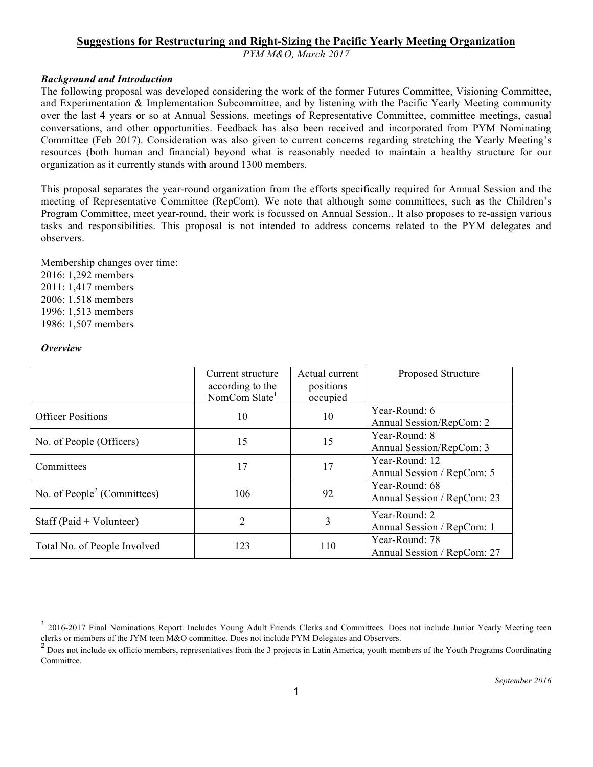## **Suggestions for Restructuring and Right-Sizing the Pacific Yearly Meeting Organization**

*PYM M&O, March 2017*

## *Background and Introduction*

The following proposal was developed considering the work of the former Futures Committee, Visioning Committee, and Experimentation & Implementation Subcommittee, and by listening with the Pacific Yearly Meeting community over the last 4 years or so at Annual Sessions, meetings of Representative Committee, committee meetings, casual conversations, and other opportunities. Feedback has also been received and incorporated from PYM Nominating Committee (Feb 2017). Consideration was also given to current concerns regarding stretching the Yearly Meeting's resources (both human and financial) beyond what is reasonably needed to maintain a healthy structure for our organization as it currently stands with around 1300 members.

This proposal separates the year-round organization from the efforts specifically required for Annual Session and the meeting of Representative Committee (RepCom). We note that although some committees, such as the Children's Program Committee, meet year-round, their work is focussed on Annual Session.. It also proposes to re-assign various tasks and responsibilities. This proposal is not intended to address concerns related to the PYM delegates and observers.

Membership changes over time: 2016: 1,292 members 2011: 1,417 members 2006: 1,518 members 1996: 1,513 members 1986: 1,507 members

#### *Overview*

|                                         | Current structure<br>according to the<br>NomCom Slate <sup>1</sup> | Actual current<br>positions<br>occupied | Proposed Structure                            |
|-----------------------------------------|--------------------------------------------------------------------|-----------------------------------------|-----------------------------------------------|
| <b>Officer Positions</b>                | 10                                                                 | 10                                      | Year-Round: 6<br>Annual Session/RepCom: 2     |
| No. of People (Officers)                | 15                                                                 | 15                                      | Year-Round: 8<br>Annual Session/RepCom: 3     |
| Committees                              | 17                                                                 | 17                                      | Year-Round: 12<br>Annual Session / RepCom: 5  |
| No. of People <sup>2</sup> (Committees) | 106                                                                | 92                                      | Year-Round: 68<br>Annual Session / RepCom: 23 |
| Staff (Paid $+$ Volunteer)              | $\overline{2}$                                                     | 3                                       | Year-Round: 2<br>Annual Session / RepCom: 1   |
| Total No. of People Involved            | 123                                                                | 110                                     | Year-Round: 78<br>Annual Session / RepCom: 27 |

<sup>&</sup>lt;sup>1</sup> 2016-2017 Final Nominations Report. Includes Young Adult Friends Clerks and Committees. Does not include Junior Yearly Meeting teen clerks or members of the JYM teen M&O committee. Does not include PYM Delegates and Observers.

<sup>&</sup>lt;sup>2</sup> Does not include ex officio members, representatives from the 3 projects in Latin America, youth members of the Youth Programs Coordinating Committee.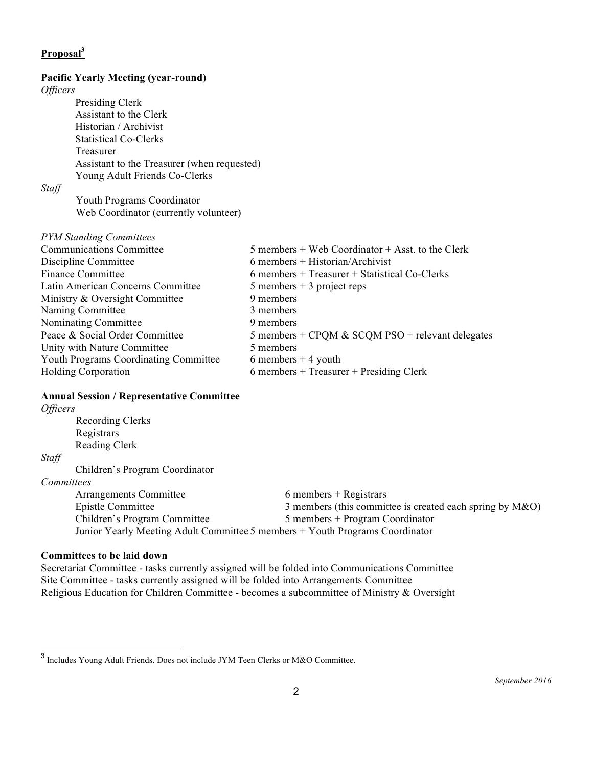# **Proposal<sup>3</sup>**

#### **Pacific Yearly Meeting (year-round)**

*Officers*

Presiding Clerk Assistant to the Clerk Historian / Archivist Statistical Co-Clerks Treasurer Assistant to the Treasurer (when requested) Young Adult Friends Co-Clerks

*Staff*

Youth Programs Coordinator Web Coordinator (currently volunteer)

*PYM Standing Committees*

| <b>Communications Committee</b>              | $5$ members + Web Coordinator + Asst. to the Clerk |
|----------------------------------------------|----------------------------------------------------|
| Discipline Committee                         | $6$ members + Historian/Archivist                  |
| <b>Finance Committee</b>                     | $6$ members + Treasurer + Statistical Co-Clerks    |
| Latin American Concerns Committee            | $5$ members $+3$ project reps                      |
| Ministry & Oversight Committee               | 9 members                                          |
| Naming Committee                             | 3 members                                          |
| Nominating Committee                         | 9 members                                          |
| Peace & Social Order Committee               | 5 members + CPQM & SCQM PSO + relevant delegates   |
| Unity with Nature Committee                  | 5 members                                          |
| <b>Youth Programs Coordinating Committee</b> | 6 members $+4$ youth                               |
| <b>Holding Corporation</b>                   | $6$ members + Treasurer + Presiding Clerk          |
|                                              |                                                    |

## **Annual Session / Representative Committee**

| <i>Officers</i>                                                              |                                |                                                             |  |  |
|------------------------------------------------------------------------------|--------------------------------|-------------------------------------------------------------|--|--|
|                                                                              | Recording Clerks               |                                                             |  |  |
| Registrars                                                                   |                                |                                                             |  |  |
|                                                                              | Reading Clerk                  |                                                             |  |  |
| Staff                                                                        |                                |                                                             |  |  |
|                                                                              | Children's Program Coordinator |                                                             |  |  |
| Committees                                                                   |                                |                                                             |  |  |
|                                                                              | Arrangements Committee         | $6$ members + Registrars                                    |  |  |
|                                                                              | Epistle Committee              | 3 members (this committee is created each spring by $M&O$ ) |  |  |
|                                                                              | Children's Program Committee   | $5$ members + Program Coordinator                           |  |  |
| Junior Yearly Meeting Adult Committee 5 members + Youth Programs Coordinator |                                |                                                             |  |  |
|                                                                              |                                |                                                             |  |  |

## **Committees to be laid down**

Secretariat Committee - tasks currently assigned will be folded into Communications Committee Site Committee - tasks currently assigned will be folded into Arrangements Committee Religious Education for Children Committee - becomes a subcommittee of Ministry & Oversight

 $^3$  Includes Young Adult Friends. Does not include JYM Teen Clerks or M&O Committee.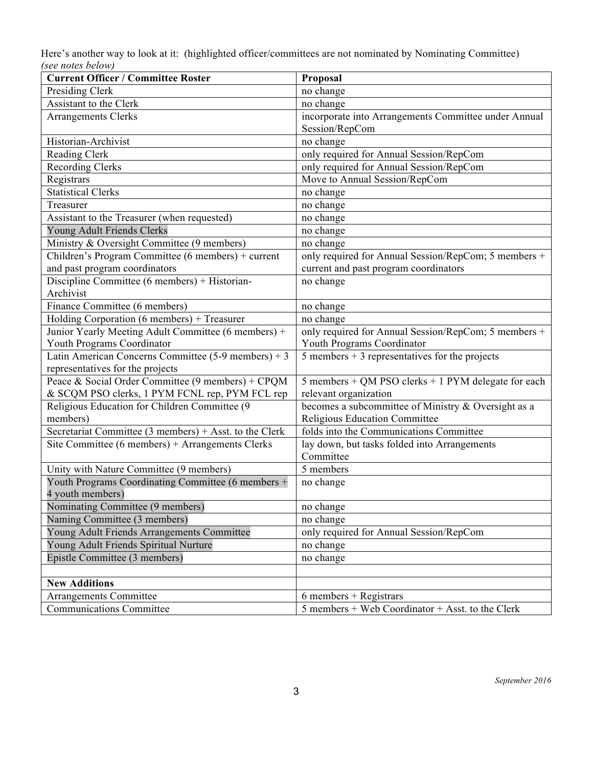Here's another way to look at it: (highlighted officer/committees are not nominated by Nominating Committee) *(see notes below)*

| <b>Current Officer / Committee Roster</b>                | Proposal                                             |
|----------------------------------------------------------|------------------------------------------------------|
| Presiding Clerk                                          | no change                                            |
| Assistant to the Clerk                                   | no change                                            |
| <b>Arrangements Clerks</b>                               | incorporate into Arrangements Committee under Annual |
|                                                          | Session/RepCom                                       |
| Historian-Archivist                                      | no change                                            |
| Reading Clerk                                            | only required for Annual Session/RepCom              |
| <b>Recording Clerks</b>                                  | only required for Annual Session/RepCom              |
| Registrars                                               | Move to Annual Session/RepCom                        |
| <b>Statistical Clerks</b>                                | no change                                            |
| Treasurer                                                | no change                                            |
| Assistant to the Treasurer (when requested)              | no change                                            |
| Young Adult Friends Clerks                               | no change                                            |
| Ministry & Oversight Committee (9 members)               | no change                                            |
| Children's Program Committee (6 members) + current       | only required for Annual Session/RepCom; 5 members + |
| and past program coordinators                            | current and past program coordinators                |
| Discipline Committee (6 members) + Historian-            | no change                                            |
| Archivist                                                |                                                      |
| Finance Committee (6 members)                            | no change                                            |
| Holding Corporation (6 members) + Treasurer              | no change                                            |
| Junior Yearly Meeting Adult Committee (6 members) +      | only required for Annual Session/RepCom; 5 members + |
| Youth Programs Coordinator                               | Youth Programs Coordinator                           |
| Latin American Concerns Committee $(5-9$ members $) + 3$ | $5$ members + 3 representatives for the projects     |
| representatives for the projects                         |                                                      |
| Peace & Social Order Committee (9 members) + CPQM        | 5 members + QM PSO clerks + 1 PYM delegate for each  |
| & SCQM PSO clerks, 1 PYM FCNL rep, PYM FCL rep           | relevant organization                                |
| Religious Education for Children Committee (9            | becomes a subcommittee of Ministry & Oversight as a  |
| members)                                                 | Religious Education Committee                        |
| Secretariat Committee (3 members) + Asst. to the Clerk   | folds into the Communications Committee              |
| Site Committee (6 members) + Arrangements Clerks         | lay down, but tasks folded into Arrangements         |
|                                                          | Committee                                            |
| Unity with Nature Committee (9 members)                  | 5 members                                            |
| Youth Programs Coordinating Committee (6 members +       | no change                                            |
| 4 youth members)                                         |                                                      |
| Nominating Committee (9 members)                         | no change                                            |
| Naming Committee (3 members)                             | no change                                            |
| Young Adult Friends Arrangements Committee               | only required for Annual Session/RepCom              |
| Young Adult Friends Spiritual Nurture                    | no change                                            |
| Epistle Committee (3 members)                            | no change                                            |
|                                                          |                                                      |
| <b>New Additions</b>                                     |                                                      |
| Arrangements Committee                                   | $6$ members + Registrars                             |
| <b>Communications Committee</b>                          | $5$ members + Web Coordinator + Asst. to the Clerk   |